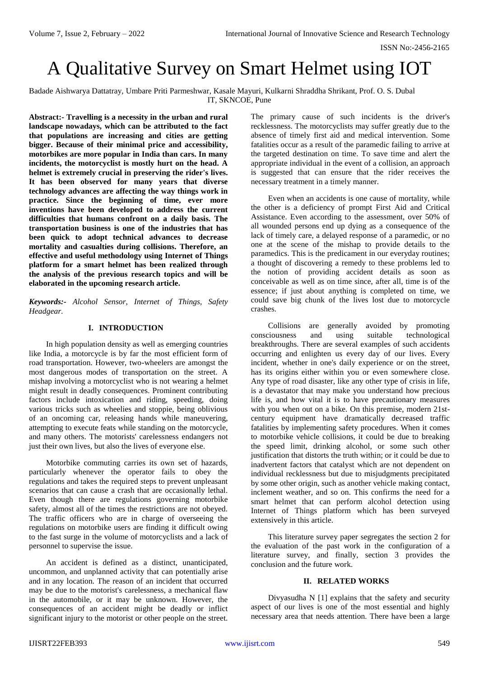# A Qualitative Survey on Smart Helmet using IOT

Badade Aishwarya Dattatray, Umbare Priti Parmeshwar, Kasale Mayuri, Kulkarni Shraddha Shrikant, Prof. O. S. Dubal IT, SKNCOE, Pune

**Abstract:- Travelling is a necessity in the urban and rural landscape nowadays, which can be attributed to the fact that populations are increasing and cities are getting bigger. Because of their minimal price and accessibility, motorbikes are more popular in India than cars. In many incidents, the motorcyclist is mostly hurt on the head. A helmet is extremely crucial in preserving the rider's lives. It has been observed for many years that diverse technology advances are affecting the way things work in practice. Since the beginning of time, ever more inventions have been developed to address the current difficulties that humans confront on a daily basis. The transportation business is one of the industries that has been quick to adopt technical advances to decrease mortality and casualties during collisions. Therefore, an effective and useful methodology using Internet of Things platform for a smart helmet has been realized through the analysis of the previous research topics and will be elaborated in the upcoming research article.**

*Keywords:- Alcohol Sensor, Internet of Things, Safety Headgear.*

## **I. INTRODUCTION**

In high population density as well as emerging countries like India, a motorcycle is by far the most efficient form of road transportation. However, two-wheelers are amongst the most dangerous modes of transportation on the street. A mishap involving a motorcyclist who is not wearing a helmet might result in deadly consequences. Prominent contributing factors include intoxication and riding, speeding, doing various tricks such as wheelies and stoppie, being oblivious of an oncoming car, releasing hands while maneuvering, attempting to execute feats while standing on the motorcycle, and many others. The motorists' carelessness endangers not just their own lives, but also the lives of everyone else.

Motorbike commuting carries its own set of hazards, particularly whenever the operator fails to obey the regulations and takes the required steps to prevent unpleasant scenarios that can cause a crash that are occasionally lethal. Even though there are regulations governing motorbike safety, almost all of the times the restrictions are not obeyed. The traffic officers who are in charge of overseeing the regulations on motorbike users are finding it difficult owing to the fast surge in the volume of motorcyclists and a lack of personnel to supervise the issue.

An accident is defined as a distinct, unanticipated, uncommon, and unplanned activity that can potentially arise and in any location. The reason of an incident that occurred may be due to the motorist's carelessness, a mechanical flaw in the automobile, or it may be unknown. However, the consequences of an accident might be deadly or inflict significant injury to the motorist or other people on the street.

The primary cause of such incidents is the driver's recklessness. The motorcyclists may suffer greatly due to the absence of timely first aid and medical intervention. Some fatalities occur as a result of the paramedic failing to arrive at the targeted destination on time. To save time and alert the appropriate individual in the event of a collision, an approach is suggested that can ensure that the rider receives the necessary treatment in a timely manner.

Even when an accidents is one cause of mortality, while the other is a deficiency of prompt First Aid and Critical Assistance. Even according to the assessment, over 50% of all wounded persons end up dying as a consequence of the lack of timely care, a delayed response of a paramedic, or no one at the scene of the mishap to provide details to the paramedics. This is the predicament in our everyday routines; a thought of discovering a remedy to these problems led to the notion of providing accident details as soon as conceivable as well as on time since, after all, time is of the essence; if just about anything is completed on time, we could save big chunk of the lives lost due to motorcycle crashes.

Collisions are generally avoided by promoting consciousness and using suitable technological breakthroughs. There are several examples of such accidents occurring and enlighten us every day of our lives. Every incident, whether in one's daily experience or on the street, has its origins either within you or even somewhere close. Any type of road disaster, like any other type of crisis in life, is a devastator that may make you understand how precious life is, and how vital it is to have precautionary measures with you when out on a bike. On this premise, modern 21stcentury equipment have dramatically decreased traffic fatalities by implementing safety procedures. When it comes to motorbike vehicle collisions, it could be due to breaking the speed limit, drinking alcohol, or some such other justification that distorts the truth within; or it could be due to inadvertent factors that catalyst which are not dependent on individual recklessness but due to misjudgments precipitated by some other origin, such as another vehicle making contact, inclement weather, and so on. This confirms the need for a smart helmet that can perform alcohol detection using Internet of Things platform which has been surveyed extensively in this article.

This literature survey paper segregates the section 2 for the evaluation of the past work in the configuration of a literature survey, and finally, section 3 provides the conclusion and the future work.

#### **II. RELATED WORKS**

Divyasudha N [1] explains that the safety and security aspect of our lives is one of the most essential and highly necessary area that needs attention. There have been a large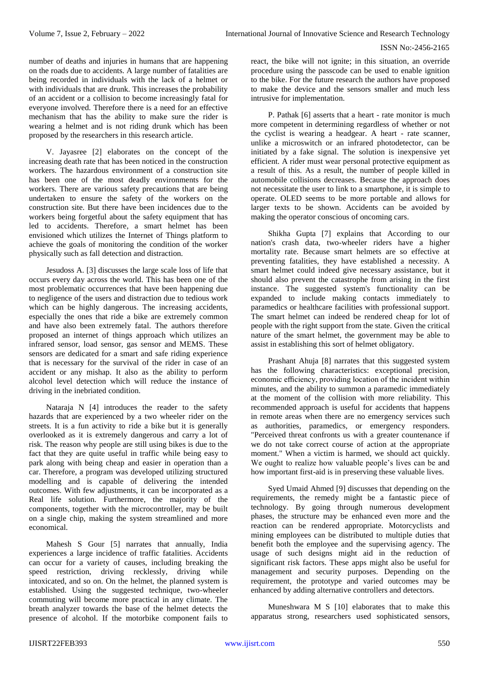number of deaths and injuries in humans that are happening on the roads due to accidents. A large number of fatalities are being recorded in individuals with the lack of a helmet or with individuals that are drunk. This increases the probability of an accident or a collision to become increasingly fatal for everyone involved. Therefore there is a need for an effective mechanism that has the ability to make sure the rider is wearing a helmet and is not riding drunk which has been proposed by the researchers in this research article.

V. Jayasree [2] elaborates on the concept of the increasing death rate that has been noticed in the construction workers. The hazardous environment of a construction site has been one of the most deadly environments for the workers. There are various safety precautions that are being undertaken to ensure the safety of the workers on the construction site. But there have been incidences due to the workers being forgetful about the safety equipment that has led to accidents. Therefore, a smart helmet has been envisioned which utilizes the Internet of Things platform to achieve the goals of monitoring the condition of the worker physically such as fall detection and distraction.

Jesudoss A. [3] discusses the large scale loss of life that occurs every day across the world. This has been one of the most problematic occurrences that have been happening due to negligence of the users and distraction due to tedious work which can be highly dangerous. The increasing accidents, especially the ones that ride a bike are extremely common and have also been extremely fatal. The authors therefore proposed an internet of things approach which utilizes an infrared sensor, load sensor, gas sensor and MEMS. These sensors are dedicated for a smart and safe riding experience that is necessary for the survival of the rider in case of an accident or any mishap. It also as the ability to perform alcohol level detection which will reduce the instance of driving in the inebriated condition.

Nataraja N [4] introduces the reader to the safety hazards that are experienced by a two wheeler rider on the streets. It is a fun activity to ride a bike but it is generally overlooked as it is extremely dangerous and carry a lot of risk. The reason why people are still using bikes is due to the fact that they are quite useful in traffic while being easy to park along with being cheap and easier in operation than a car. Therefore, a program was developed utilizing structured modelling and is capable of delivering the intended outcomes. With few adjustments, it can be incorporated as a Real life solution. Furthermore, the majority of the components, together with the microcontroller, may be built on a single chip, making the system streamlined and more economical.

Mahesh S Gour [5] narrates that annually, India experiences a large incidence of traffic fatalities. Accidents can occur for a variety of causes, including breaking the speed restriction, driving recklessly, driving while intoxicated, and so on. On the helmet, the planned system is established. Using the suggested technique, two-wheeler commuting will become more practical in any climate. The breath analyzer towards the base of the helmet detects the presence of alcohol. If the motorbike component fails to

react, the bike will not ignite; in this situation, an override procedure using the passcode can be used to enable ignition to the bike. For the future research the authors have proposed to make the device and the sensors smaller and much less intrusive for implementation.

P. Pathak [6] asserts that a heart - rate monitor is much more competent in determining regardless of whether or not the cyclist is wearing a headgear. A heart - rate scanner, unlike a microswitch or an infrared photodetector, can be initiated by a fake signal. The solution is inexpensive yet efficient. A rider must wear personal protective equipment as a result of this. As a result, the number of people killed in automobile collisions decreases. Because the approach does not necessitate the user to link to a smartphone, it is simple to operate. OLED seems to be more portable and allows for larger texts to be shown. Accidents can be avoided by making the operator conscious of oncoming cars.

Shikha Gupta [7] explains that According to our nation's crash data, two-wheeler riders have a higher mortality rate. Because smart helmets are so effective at preventing fatalities, they have established a necessity. A smart helmet could indeed give necessary assistance, but it should also prevent the catastrophe from arising in the first instance. The suggested system's functionality can be expanded to include making contacts immediately to paramedics or healthcare facilities with professional support. The smart helmet can indeed be rendered cheap for lot of people with the right support from the state. Given the critical nature of the smart helmet, the government may be able to assist in establishing this sort of helmet obligatory.

Prashant Ahuja [8] narrates that this suggested system has the following characteristics: exceptional precision, economic efficiency, providing location of the incident within minutes, and the ability to summon a paramedic immediately at the moment of the collision with more reliability. This recommended approach is useful for accidents that happens in remote areas when there are no emergency services such as authorities, paramedics, or emergency responders. "Perceived threat confronts us with a greater countenance if we do not take correct course of action at the appropriate moment." When a victim is harmed, we should act quickly. We ought to realize how valuable people's lives can be and how important first-aid is in preserving these valuable lives.

Syed Umaid Ahmed [9] discusses that depending on the requirements, the remedy might be a fantastic piece of technology. By going through numerous development phases, the structure may be enhanced even more and the reaction can be rendered appropriate. Motorcyclists and mining employees can be distributed to multiple duties that benefit both the employee and the supervising agency. The usage of such designs might aid in the reduction of significant risk factors. These apps might also be useful for management and security purposes. Depending on the requirement, the prototype and varied outcomes may be enhanced by adding alternative controllers and detectors.

Muneshwara M S [10] elaborates that to make this apparatus strong, researchers used sophisticated sensors,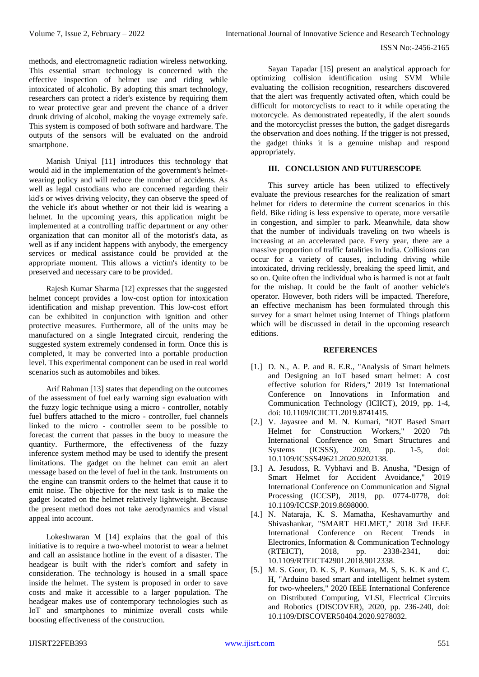methods, and electromagnetic radiation wireless networking. This essential smart technology is concerned with the effective inspection of helmet use and riding while intoxicated of alcoholic. By adopting this smart technology, researchers can protect a rider's existence by requiring them to wear protective gear and prevent the chance of a driver drunk driving of alcohol, making the voyage extremely safe. This system is composed of both software and hardware. The outputs of the sensors will be evaluated on the android smartphone.

Manish Uniyal [11] introduces this technology that would aid in the implementation of the government's helmetwearing policy and will reduce the number of accidents. As well as legal custodians who are concerned regarding their kid's or wives driving velocity, they can observe the speed of the vehicle it's about whether or not their kid is wearing a helmet. In the upcoming years, this application might be implemented at a controlling traffic department or any other organization that can monitor all of the motorist's data, as well as if any incident happens with anybody, the emergency services or medical assistance could be provided at the appropriate moment. This allows a victim's identity to be preserved and necessary care to be provided.

Rajesh Kumar Sharma [12] expresses that the suggested helmet concept provides a low-cost option for intoxication identification and mishap prevention. This low-cost effort can be exhibited in conjunction with ignition and other protective measures. Furthermore, all of the units may be manufactured on a single Integrated circuit, rendering the suggested system extremely condensed in form. Once this is completed, it may be converted into a portable production level. This experimental component can be used in real world scenarios such as automobiles and bikes.

Arif Rahman [13] states that depending on the outcomes of the assessment of fuel early warning sign evaluation with the fuzzy logic technique using a micro - controller, notably fuel buffers attached to the micro - controller, fuel channels linked to the micro - controller seem to be possible to forecast the current that passes in the buoy to measure the quantity. Furthermore, the effectiveness of the fuzzy inference system method may be used to identify the present limitations. The gadget on the helmet can emit an alert message based on the level of fuel in the tank. Instruments on the engine can transmit orders to the helmet that cause it to emit noise. The objective for the next task is to make the gadget located on the helmet relatively lightweight. Because the present method does not take aerodynamics and visual appeal into account.

Lokeshwaran M [14] explains that the goal of this initiative is to require a two-wheel motorist to wear a helmet and call an assistance hotline in the event of a disaster. The headgear is built with the rider's comfort and safety in consideration. The technology is housed in a small space inside the helmet. The system is proposed in order to save costs and make it accessible to a larger population. The headgear makes use of contemporary technologies such as IoT and smartphones to minimize overall costs while boosting effectiveness of the construction.

Sayan Tapadar [15] present an analytical approach for optimizing collision identification using SVM While evaluating the collision recognition, researchers discovered that the alert was frequently activated often, which could be difficult for motorcyclists to react to it while operating the motorcycle. As demonstrated repeatedly, if the alert sounds and the motorcyclist presses the button, the gadget disregards the observation and does nothing. If the trigger is not pressed, the gadget thinks it is a genuine mishap and respond appropriately.

## **III. CONCLUSION AND FUTURESCOPE**

This survey article has been utilized to effectively evaluate the previous researches for the realization of smart helmet for riders to determine the current scenarios in this field. Bike riding is less expensive to operate, more versatile in congestion, and simpler to park. Meanwhile, data show that the number of individuals traveling on two wheels is increasing at an accelerated pace. Every year, there are a massive proportion of traffic fatalities in India. Collisions can occur for a variety of causes, including driving while intoxicated, driving recklessly, breaking the speed limit, and so on. Quite often the individual who is harmed is not at fault for the mishap. It could be the fault of another vehicle's operator. However, both riders will be impacted. Therefore, an effective mechanism has been formulated through this survey for a smart helmet using Internet of Things platform which will be discussed in detail in the upcoming research editions.

## **REFERENCES**

- [1.] D. N., A. P. and R. E.R., "Analysis of Smart helmets and Designing an IoT based smart helmet: A cost effective solution for Riders," 2019 1st International Conference on Innovations in Information and Communication Technology (ICIICT), 2019, pp. 1-4, doi: 10.1109/ICIICT1.2019.8741415.
- [2.] V. Jayasree and M. N. Kumari, "IOT Based Smart Helmet for Construction Workers," 2020 7th International Conference on Smart Structures and Systems (ICSSS), 2020, pp. 1-5, doi: 10.1109/ICSSS49621.2020.9202138.
- [3.] A. Jesudoss, R. Vybhavi and B. Anusha, "Design of Smart Helmet for Accident Avoidance," 2019 International Conference on Communication and Signal Processing (ICCSP), 2019, pp. 0774-0778, doi: 10.1109/ICCSP.2019.8698000.
- [4.] N. Nataraja, K. S. Mamatha, Keshavamurthy and Shivashankar, "SMART HELMET," 2018 3rd IEEE International Conference on Recent Trends in Electronics, Information & Communication Technology (RTEICT), 2018, pp. 2338-2341, doi: 10.1109/RTEICT42901.2018.9012338.
- [5.] M. S. Gour, D. K. S, P. Kumara, M. S, S. K. K and C. H, "Arduino based smart and intelligent helmet system for two-wheelers," 2020 IEEE International Conference on Distributed Computing, VLSI, Electrical Circuits and Robotics (DISCOVER), 2020, pp. 236-240, doi: 10.1109/DISCOVER50404.2020.9278032.